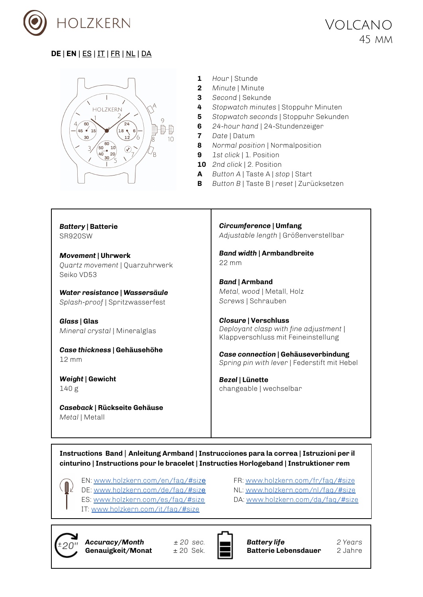

<span id="page-0-0"></span>

- **1** *Hour* | Stunde
- **2** *Minute* | Minute
- **3** *Second* | Sekunde
- **4** *Stopwatch minutes* | Stoppuhr Minuten
- **5** *Stopwatch seconds* | Stoppuhr Sekunden
- **6** *24-hour hand* | 24-Stundenzeiger
- **7** *Date* | Datum
- **8** *Normal position* | Normalposition
- **9** *1st click* | 1. Position
- **10** *2nd click* | 2. Position
- **A** *Button A* | Taste A | *stop* | Start
- **B** *Button B* | Taste B | *reset* | Zurücksetzen

*Battery* **| Batterie** SR920SW

*Movement* **| Uhrwerk** *Quartz movement* | Quarzuhrwerk Seiko VD53

*Water resistance | Wassersäule Splash-proof* | Spritzwasserfest

*Glass* **| Glas** *Mineral crystal* | Mineralglas

*Case thickness* **| Gehäusehöhe** 12 mm

*Weight* **| Gewicht** 140 g

*Caseback* **| Rückseite Gehäuse** *Metal* | Metall

*Circumference* **| Umfang** *Adjustable length* | Größenverstellbar

*Band width* **| Armbandbreite** 22 mm

*Band* **| Armband** *Metal, wood* | Metall, Holz *Screws* | Schrauben

*Closure* **| Verschluss** *Deployant clasp with fine adjustment* | Klappverschluss mit Feineinstellung

*Case connection* **| Gehäuseverbindung** *Spring pin with lever* | Federstift mit Hebel

*Bezel* **| Lünette** changeable | wechselbar

**Instructions Band** | **Anleitung Armband | Instrucciones para la correa | Istruzioni per il cinturino | Instructions pour le bracelet | Instructies Horlogeband | Instruktioner rem**

- EN: [www.holzkern.com/en/faq/#siz](https://www.holzkern.com/en/faq/#size)e
- DE: [www.holzkern.com/de/faq/#siz](https://www.holzkern.com/faq/#size)e
- ES: [www.holzkern.com/es/faq/#size](https://www.holzkern.com/es/faq/#size)
- IT: [www.holzkern.com/it/faq/#size](https://www.holzkern.com/it/faq/#size)



*Accuracy/Month ± 20 sec.* **Genauigkeit/Monat**  $\pm 20$  Sek.



FR: [www.holzkern.com/fr/faq/#size](http://www.holzkern.com/fr/faq/#size) NL: [www.holzkern.com/nl/faq/#size](http://www.holzkern.com/nl/faq/#size) DA: [www.holzkern.com/da/faq/#size](http://www.holzkern.com/da/faq/#size)

> *Battery life 2 Years* **Batterie Lebensdauer** 2 Jahre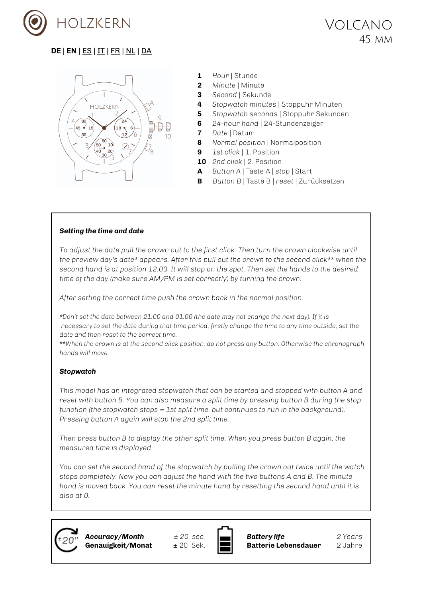



- **1** *Hour* | Stunde
- **2** *Minute* | Minute
- **3** *Second* | Sekunde
- **4** *Stopwatch minutes* | Stoppuhr Minuten
- **5** *Stopwatch seconds* | Stoppuhr Sekunden
- **6** *24-hour hand* | 24-Stundenzeiger
- **7** *Date* | Datum
- **8** *Normal position* | Normalposition
- **9** *1st click* | 1. Position
- **10** *2nd click* | 2. Position
- **A** *Button A* | Taste A | *stop* | Start
- **B** *Button B* | Taste B | *reset* | Zurücksetzen

#### *Setting the time and date*

*To adjust the date pull the crown out to the first click. Then turn the crown clockwise until the preview day's date\* appears. After this pull out the crown to the second click\*\* when the* second hand is at position 12:00. It will stop on the spot. Then set the hands to the desired *time of the day (make sure AM/PM is set correctly) by turning the crown.*

*After setting the correct time push the crown back in the normal position.*

\*Don't set the date between 21:00 and 01:00 (the date may not change the next day). If it is necessary to set the date during that time period, firstly change the time to any time outside, set the *date and then reset to the correct time.*

*\*\*When the crown is at the second click position, do not press any button. Otherwise the chronograph hands will move.*

#### *Stopwatch*

*This model has an integrated stopwatch that can be started and stopped with button A and reset with button B. You can also measure a split time by pressing button B during the stop function (the stopwatch stops = 1st split time, but continues to run in the background). Pressing button A again will stop the 2nd split time.*

*Then press button B to display the other split time. When you press button B again, the measured time is displayed.*

*You can set the second hand of the stopwatch by pulling the crown out twice until the watch stops completely. Now you can adjust the hand with the two buttons A and B. The minute hand is moved back. You can reset the minute hand by resetting the second hand until it is also at 0.*



*Accuracy/Month ± 20 sec.* **Genauigkeit/Monat**  $\pm 20$  Sek.



*Battery life 2 Years* **Batterie Lebensdauer** 2 Jahre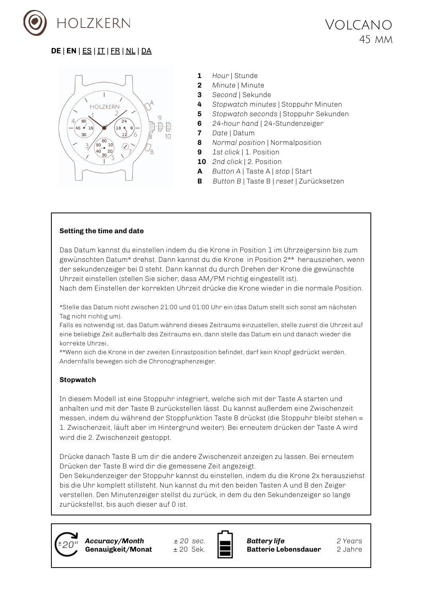



- **1** *Hour* | Stunde
- **2** *Minute* | Minute
- **3** *Second* | Sekunde
- **4** *Stopwatch minutes* | Stoppuhr Minuten
- **5** *Stopwatch seconds* | Stoppuhr Sekunden
- **6** *24-hour hand* | 24-Stundenzeiger
- **7** *Date* | Datum
- **8** *Normal position* | Normalposition
- **9** *1st click* | 1. Position
- **10** *2nd click* | 2. Position
- **A** *Button A* | Taste A | *stop* | Start
- **B** *Button B* | Taste B | *reset* | Zurücksetzen

#### **Setting the time and date**

Das Datum kannst du einstellen indem du die Krone in Position 1 im Uhrzeigersinn bis zum gewünschten Datum\* drehst. Dann kannst du die Krone in Position 2\*\* herausziehen, wenn der sekundenzeiger bei 0 steht. Dann kannst du durch Drehen der Krone die gewünschte Uhrzeit einstellen (stellen Sie sicher, dass AM/PM richtig eingestellt ist).

Nach dem Einstellen der korrekten Uhrzeit drücke die Krone wieder in die normale Position.

\*Stelle das Datum nicht zwischen 21:00 und 01:00 Uhr ein (das Datum stellt sich sonst am nächsten Tag nicht richtig um).

Falls es notwendig ist, das Datum während dieses Zeitraums einzustellen, stelle zuerst die Uhrzeit auf eine beliebige Zeit außerhalb des Zeitraums ein, dann stelle das Datum ein und danach wieder die korrekte Uhrzei..

\*\*Wenn sich die Krone in der zweiten Einrastposition befindet, darf kein Knopf gedrückt werden. Andernfalls bewegen sich die Chronographenzeiger.

#### **Stopwatch**

In diesem Modell ist eine Stoppuhr integriert, welche sich mit der Taste A starten und anhalten und mit der Taste B zurückstellen lässt. Du kannst außerdem eine Zwischenzeit messen, indem du während der Stoppfunktion Taste B drückst (die Stoppuhr bleibt stehen = 1. Zwischenzeit, läuft aber im Hintergrund weiter). Bei erneutem drücken der Taste A wird wird die 2. Zwischenzeit gestoppt.

Drücke danach Taste B um dir die andere Zwischenzeit anzeigen zu lassen. Bei erneutem Drücken der Taste B wird dir die gemessene Zeit angezeigt.

Den Sekundenzeiger der Stoppuhr kannst du einstellen, indem du die Krone 2x herausziehst bis die Uhr komplett stillsteht. Nun kannst du mit den beiden Tasten A und B den Zeiger verstellen. Den Minutenzeiger stellst du zurück, in dem du den Sekundenzeiger so lange zurückstellst, bis auch dieser auf 0 ist.



*Accuracy/Month ± 20 sec.* **Genauigkeit/Monat**  $\pm 20$  Sek.



*Battery life 2 Years* **Batterie Lebensdauer** 2 Jahre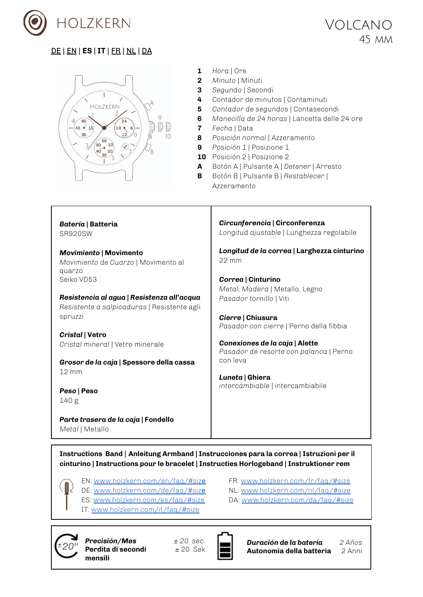



- **1** *Hora* | Ore
- **2** *Minuto* | Minuti
- **3** *Segundo* | Secondi
- **4** Contador de minutos | Contaminuti
- **5** *Contador de segundos* | Contasecondi
- **6** *Manecilla de 24 horas* | Lancetta delle 24 ore
- **7** *Fecha* | Data
- **8** *Posición normal* | Azzeramento
- **9** *Posición 1* | Posizione 1
- **10** Posición 2 | Posizione 2
- **A** Botón A | Pulsante A | *Detener* | Arresto
- **B** Botón B | Pulsante B | *Restablecer* | Azzeramento

*Batería* **| Batteria** SR920SW

*Movimiento* **| Movimento** *Movimiento de Cuarzo* | Movimento al quarzo Seiko VD53

*Resistencia al agua | Resistenza all'acqua Resistente a salpicaduras* | Resistente agli spruzzi

*Cristal* **| Vetro** *Cristal mineral* | Vetro minerale

*Grosor de la caja* **| Spessore della cassa** 12 mm

*Peso* **| Peso** 140 g

*Parte trasera de la caja* **| Fondello** *Metal* | Metallo

*Circunferencia* **| Circonferenza** *Longitud ajustable* | Lunghezza regolabile

*Longitud de la correa* **| Larghezza cinturino** 22 mm

*Correa* **| Cinturino** *Metal, Madera* | Metallo, Legno *Pasador tornillo* | Viti

*Cierre* **| Chiusura** *Pasador con cierre* | Perno della fibbia

*Conexiones de la caja* **| Alette** *Pasador de resorte con palanca* | Perno con leva

*Luneta* **| Ghiera** *intercambiable* | intercambiabile

**Instructions Band** | **Anleitung Armband | Instrucciones para la correa | Istruzioni per il cinturino | Instructions pour le bracelet | Instructies Horlogeband | Instruktioner rem**

EN: [www.holzkern.com/en/faq/#siz](https://www.holzkern.com/en/faq/#size)e

- DE: [www.holzkern.com/de/faq/#siz](https://www.holzkern.com/faq/#size)e
- ES: [www.holzkern.com/es/faq/#size](https://www.holzkern.com/es/faq/#size)
- IT: [www.holzkern.com/it/faq/#size](https://www.holzkern.com/it/faq/#size)

FR: [www.holzkern.com/fr/faq/#size](http://www.holzkern.com/fr/faq/#size) NL: [www.holzkern.com/nl/faq/#size](http://www.holzkern.com/nl/faq/#size) DA: [www.holzkern.com/da/faq/#size](http://www.holzkern.com/da/faq/#size)



*Precisión/Mes ± 20 sec.* **Perdita di secondi**  $+20$  Sek **mensili**



*Duración de la batería 2 Años* **Autonomia della batteria** 2 Anni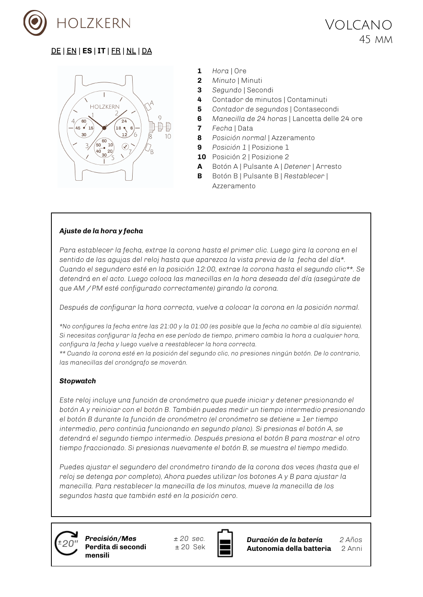



- **1** *Hora* | Ore
- **2** *Minuto* | Minuti
- **3** *Segundo* | Secondi
- **4** Contador de minutos | Contaminuti
- **5** *Contador de segundos* | Contasecondi
- **6** *Manecilla de 24 horas* | Lancetta delle 24 ore
- **7** *Fecha* | Data
- **8** *Posición normal* | Azzeramento
- **9** *Posición 1* | Posizione 1
- **10** Posición 2 | Posizione 2
- **A** Botón A | Pulsante A | *Detener* | Arresto
- **B** Botón B | Pulsante B | *Restablecer* | Azzeramento

#### *Ajuste de la hora y fecha*

*Para establecer la fecha, extrae la corona hasta el primer clic. Luego gira la corona en el sentido de las agujas del reloj hasta que aparezca la vista previa de la fecha del día\*. Cuando el segundero esté en la posición 12:00, extrae la corona hasta el segundo clic\*\*. Se detendrá en el acto. Luego coloca las manecillas en la hora deseada del día (asegúrate de que AM / PM esté configurado correctamente) girando la corona.*

*Después de configurar la hora correcta, vuelve a colocar la corona en la posición normal.*

\*No configures la fecha entre las 21:00 y la 01:00 (es posible que la fecha no cambie al día siguiente). *Si necesitas configurar la fecha en ese período de tiempo, primero cambia la hora a cualquier hora, configura la fecha y luego vuelve a reestablecer la hora correcta.*

\*\* Cuando la corona esté en la posición del segundo clic, no presiones ningún botón. De lo contrario, *las manecillas del cronógrafo se moverán.*

#### *Stopwatch*

*Este reloj incluye una función de cronómetro que puede iniciar y detener presionando el botón A y reiniciar con el botón B. También puedes medir un tiempo intermedio presionando el botón B durante la función de cronómetro (el cronómetro se detiene = 1er tiempo intermedio, pero continúa funcionando en segundo plano). Si presionas el botón A, se detendrá el segundo tiempo intermedio. Después presiona el botón B para mostrar el otro tiempo fraccionado. Si presionas nuevamente el botón B, se muestra el tiempo medido.*

*Puedes ajustar el segundero del cronómetro tirando de la corona dos veces (hasta que el reloj se detenga por completo), Ahora puedes utilizar los botones A y B para ajustar la manecilla. Para restablecer la manecilla de los minutos, mueve la manecilla de los segundos hasta que también esté en la posición cero.*



*Precisión/Mes ± 20 sec.* **Perdita di secondi** ± 20 Sek **mensili**



*Duración de la batería 2 Años* **Autonomia della batteria** 2 Anni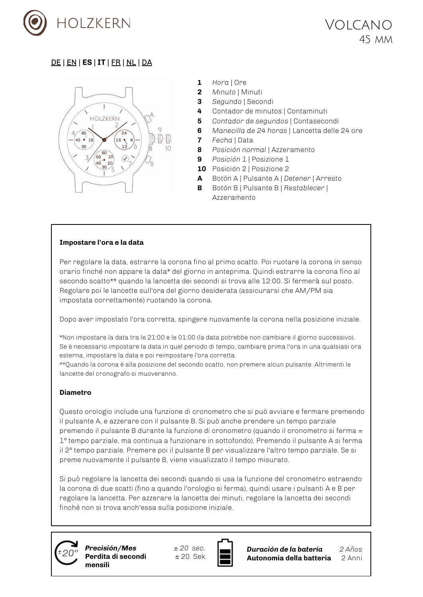



- **1** *Hora* | Ore
- **2** *Minuto* | Minuti
- **3** *Segundo* | Secondi
- **4** Contador de minutos | Contaminuti
- **5** *Contador de segundos* | Contasecondi
- **6** *Manecilla de 24 horas* | Lancetta delle 24 ore
- **7** *Fecha* | Data
- **8** *Posición normal* | Azzeramento
- **9** *Posición 1* | Posizione 1
- **10** Posición 2 | Posizione 2
- **A** Botón A | Pulsante A | *Detener* | Arresto
- **B** Botón B | Pulsante B | *Restablecer* | Azzeramento

#### **Impostare l'ora e la data**

Per regolare la data, estrarre la corona fino al primo scatto. Poi ruotare la corona in senso orario finché non appare la data\* del giorno in anteprima. Quindi estrarre la corona fino al secondo scatto\*\* quando la lancetta dei secondi si trova alle 12:00. Si fermerà sul posto. Regolare poi le lancette sull'ora del giorno desiderata (assicurarsi che AM/PM sia impostata correttamente) ruotando la corona.

Dopo aver impostato l'ora corretta, spingere nuovamente la corona nella posizione iniziale.

\*Non impostare la data tra le 21:00 e le 01:00 (la data potrebbe non cambiare il giorno successivo). Se è necessario impostare la data in quel periodo di tempo, cambiare prima l'ora in una qualsiasi ora esterna, impostare la data e poi reimpostare l'ora corretta.

\*\*Quando la corona è alla posizione del secondo scatto, non premere alcun pulsante. Altrimenti le lancette del cronografo si muoveranno.

#### **Diametro**

Questo orologio include una funzione di cronometro che si può avviare e fermare premendo il pulsante A, e azzerare con il pulsante B. Si può anche prendere un tempo parziale premendo il pulsante B durante la funzione di cronometro (quando il cronometro si ferma = 1° tempo parziale, ma continua a funzionare in sottofondo). Premendo il pulsante A si ferma il 2° tempo parziale. Premere poi il pulsante B per visualizzare l'altro tempo parziale. Se si preme nuovamente il pulsante B, viene visualizzato il tempo misurato.

Si può regolare la lancetta dei secondi quando si usa la funzione del cronometro estraendo la corona di due scatti (fino a quando l'orologio si ferma), quindi usare i pulsanti A e B per regolare la lancetta. Per azzerare la lancetta dei minuti, regolare la lancetta dei secondi finché non si trova anch'essa sulla posizione iniziale.



*Precisión/Mes ± 20 sec.* **Perdita di secondi** + 20 Sek **mensili**



*Duración de la batería 2 Años* **Autonomia della batteria** 2 Anni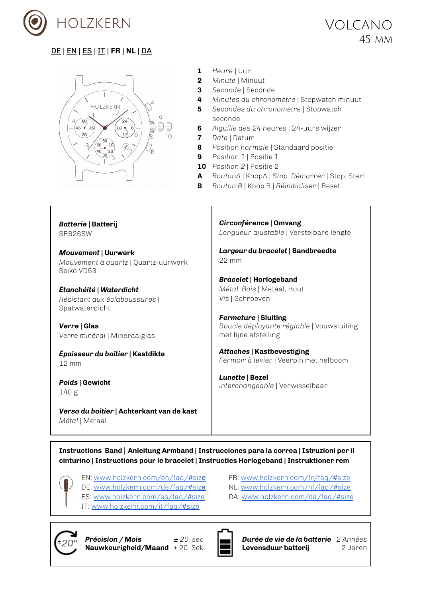



- **1** *Heure* | Uur
- **2** *Minute* | Minuut
- **3** *Seconde* | Seconde
- **4** *Minutes du chronomètre* | Stopwatch minuut
- **5** *Secondes du chronomètre* | Stopwatch seconde
- **6** *Aiguille des 24 heures* | 24-uurs wijzer
- **7** *Date* | Datum
- **8** *Position normale* | Standaard positie
- **9** *Position 1* | Positie 1
- **10** *Position 2* | Positie 2
- **A** *BoutonA* | KnopA | *Stop, Démarrer* | Stop, Start
- **B** *Bouton B* | Knop B | *Réinitialiser* | Reset

*Batterie* **| Batterij** SR626SW

*Mouvement* **| Uurwerk** *Mouvement à quartz* | Quartz-uurwerk Seiko VD53

*Étanchéité | Waterdicht Résistant aux éclaboussures* | Spatwaterdicht

*Verre* **| Glas** *Verre minéral* | Mineraalglas

*Épaisseur du boîtier* **| Kastdikte** 12 mm

*Poids* **| Gewicht** 140 g

*Verso du boitier* **| Achterkant van de kast** *Métal* | Metaal

*Circonférence* **| Omvang** *Longueur ajustable* | Verstelbare lengte

*Largeur du bracelet* **| Bandbreedte** 22 mm

*Bracelet* **| Horlogeband** *Métal, Bois* | Metaal, Hout *Vis* | Schroeven

*Fermeture* **| Sluiting** *Boucle déployante réglable* | Vouwsluiting met fijne afstelling

*Attaches* **| Kastbevestiging** *Fermoir à levier* | Veerpin met hefboom

*Lunette* **| Bezel** *interchangeable* | Verwisselbaar

**Instructions Band** | **Anleitung Armband | Instrucciones para la correa | Istruzioni per il cinturino | Instructions pour le bracelet | Instructies Horlogeband | Instruktioner rem**

EN: [www.holzkern.com/en/faq/#siz](https://www.holzkern.com/en/faq/#size)e DE: [www.holzkern.com/de/faq/#siz](https://www.holzkern.com/faq/#size)e

- ES: [www.holzkern.com/es/faq/#size](https://www.holzkern.com/es/faq/#size)
- IT: [www.holzkern.com/it/faq/#size](https://www.holzkern.com/it/faq/#size)
- FR: [www.holzkern.com/fr/faq/#size](http://www.holzkern.com/fr/faq/#size) NL: [www.holzkern.com/nl/faq/#size](http://www.holzkern.com/nl/faq/#size)
- DA: [www.holzkern.com/da/faq/#size](http://www.holzkern.com/da/faq/#size)



*Précision / Mois ± 20 sec.* **Nauwkeurigheid/Maand** ± 20 Sek.



*Durée de vie de la batterie 2 Années* **Levensduur batterij** 2 Jaren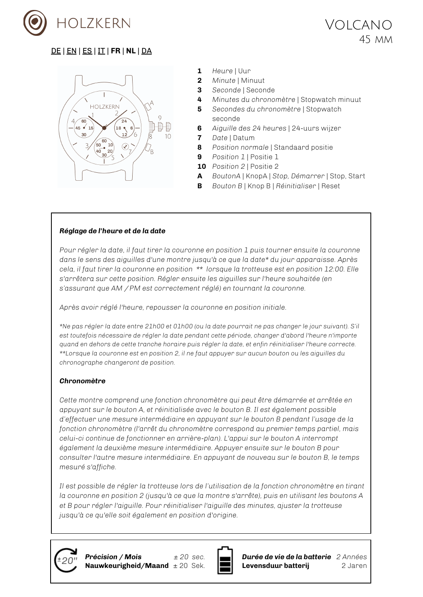



- **1** *Heure* | Uur
- **2** *Minute* | Minuut
- **3** *Seconde* | Seconde
- **4** *Minutes du chronomètre* | Stopwatch minuut
- **5** *Secondes du chronomètre* | Stopwatch seconde
- **6** *Aiguille des 24 heures* | 24-uurs wijzer
- **7** *Date* | Datum
- **8** *Position normale* | Standaard positie
- **9** *Position 1* | Positie 1
- **10** *Position 2* | Positie 2
- **A** *BoutonA* | KnopA | *Stop, Démarrer* | Stop, Start
- **B** *Bouton B* | Knop B | *Réinitialiser* | Reset

#### *Réglage de l'heure et de la date*

*Pour régler la date, il faut tirer la couronne en position 1 puis tourner ensuite la couronne dans le sens des aiguilles d'une montre jusqu'à ce que la date\* du jour apparaisse. Après cela, il faut tirer la couronne en position \*\* lorsque la trotteuse est en position 12:00. Elle s'arrêtera sur cette position. Régler ensuite les aiguilles sur l'heure souhaitée (en s'assurant que AM / PM est correctement réglé) en tournant la couronne.*

*Après avoir réglé l'heure, repousser la couronne en position initiale.*

\*Ne pas régler la date entre 21h00 et 01h00 (ou la date pourrait ne pas changer le jour suivant). S'il *est toutefois nécessaire de régler la date pendant cette période, changer d'abord l'heure n'importe quand en dehors de cette tranche horaire puis régler la date, et enfin réinitialiser l'heure correcte. \*\*Lorsque la couronne est en position 2, il ne faut appuyer sur aucun bouton ou les aiguilles du chronographe changeront de position.*

#### *Chronomètre*

*Cette montre comprend une fonction chronomètre qui peut être démarrée et arrêtée en appuyant sur le bouton A, et réinitialisée avec le bouton B. Il est également possible d'effectuer une mesure intermédiaire en appuyant sur le bouton B pendant l'usage de la fonction chronomètre (l'arrêt du chronomètre correspond au premier temps partiel, mais celui-ci continue de fonctionner en arrière-plan). L'appui sur le bouton A interrompt également la deuxième mesure intermédiaire. Appuyer ensuite sur le bouton B pour consulter l'autre mesure intermédiaire. En appuyant de nouveau sur le bouton B, le temps mesuré s'affiche.*

*Il est possible de régler la trotteuse lors de l'utilisation de la fonction chronomètre en tirant la couronne en position 2 (jusqu'à ce que la montre s'arrête), puis en utilisant les boutons A et B pour régler l'aiguille. Pour réinitialiser l'aiguille des minutes, ajuster la trotteuse jusqu'à ce qu'elle soit également en position d'origine.*





*Durée de vie de la batterie 2 Années* **Levensduur batterij** 2 Jaren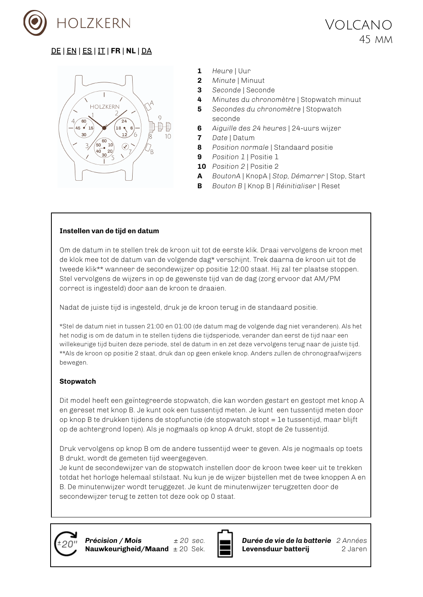



- **1** *Heure* | Uur
- **2** *Minute* | Minuut
- **3** *Seconde* | Seconde
- **4** *Minutes du chronomètre* | Stopwatch minuut
- **5** *Secondes du chronomètre* | Stopwatch seconde
- **6** *Aiguille des 24 heures* | 24-uurs wijzer
- **7** *Date* | Datum
- **8** *Position normale* | Standaard positie
- **9** *Position 1* | Positie 1
- **10** *Position 2* | Positie 2
- **A** *BoutonA* | KnopA | *Stop, Démarrer* | Stop, Start
- **B** *Bouton B* | Knop B | *Réinitialiser* | Reset

#### **Instellen van de tijd en datum**

Om de datum in te stellen trek de kroon uit tot de eerste klik. Draai vervolgens de kroon met de klok mee tot de datum van de volgende dag\* verschijnt. Trek daarna de kroon uit tot de tweede klik\*\* wanneer de secondewijzer op positie 12:00 staat. Hij zal ter plaatse stoppen. Stel vervolgens de wijzers in op de gewenste tijd van de dag (zorg ervoor dat AM/PM correct is ingesteld) door aan de kroon te draaien.

Nadat de juiste tijd is ingesteld, druk je de kroon terug in de standaard positie.

\*Stel de datum niet in tussen 21:00 en 01:00 (de datum mag de volgende dag niet veranderen). Als het het nodig is om de datum in te stellen tijdens die tijdsperiode, verander dan eerst de tijd naar een willekeurige tijd buiten deze periode, stel de datum in en zet deze vervolgens terug naar de juiste tijd. \*\*Als de kroon op positie 2 staat, druk dan op geen enkele knop. Anders zullen de chronograafwijzers bewegen.

#### **Stopwatch**

Dit model heeft een geïntegreerde stopwatch, die kan worden gestart en gestopt met knop A en gereset met knop B. Je kunt ook een tussentijd meten. Je kunt een tussentijd meten door op knop B te drukken tijdens de stopfunctie (de stopwatch stopt = 1e tussentijd, maar blijft op de achtergrond lopen). Als je nogmaals op knop A drukt, stopt de 2e tussentijd.

Druk vervolgens op knop B om de andere tussentijd weer te geven. Als je nogmaals op toets B drukt, wordt de gemeten tijd weergegeven.

Je kunt de secondewijzer van de stopwatch instellen door de kroon twee keer uit te trekken totdat het horloge helemaal stilstaat. Nu kun je de wijzer bijstellen met de twee knoppen A en B. De minutenwijzer wordt teruggezet. Je kunt de minutenwijzer terugzetten door de secondewijzer terug te zetten tot deze ook op 0 staat.



*Précision / Mois ± 20 sec.* **Nauwkeurigheid/Maand** ± 20 Sek.



*Durée de vie de la batterie 2 Années* **Levensduur batterij** 2 Jaren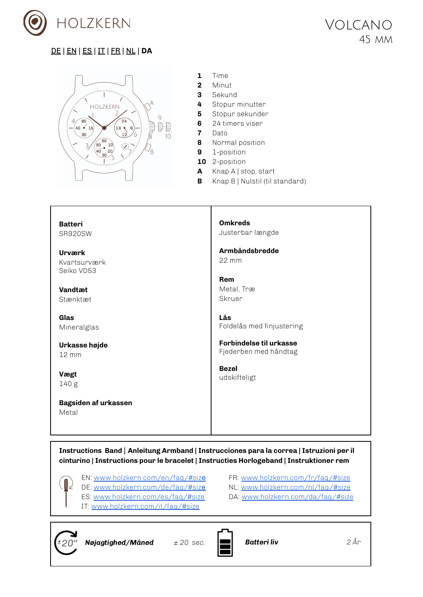



- **1** Time
- **2** Minut
- **3** Sekund
- **4** Stopur minutter
- **5** Stopur sekunder
- **6** 24 timers viser
- **7** Dato
- **8** Normal position
- **9** 1-position
- **10** 2-position
- **A** Knap A | stop, start
- **B** Knap B | Nulstil (til standard)

**Batteri** SR920SW

**Urværk** Kvartsurværk Seiko VD53

**Vandtæt** Stænktæt

**Glas** Mineralglas

**Urkasse højde** 12 mm

**Vægt** 140 g

**Bagsiden af urkassen** Metal

**Omkreds** Justerbar længde

**Armbåndsbredde** 22 mm

**Rem** Metal, Træ Skruer

**Lås** Foldelås med finjustering

**Forbindelse til urkasse** Fjederben med håndtag

**Bezel** udskifteligt

**Instructions Band** | **Anleitung Armband | Instrucciones para la correa | Istruzioni per il cinturino | Instructions pour le bracelet | Instructies Horlogeband | Instruktioner rem**

- EN: [www.holzkern.com/en/faq/#siz](https://www.holzkern.com/en/faq/#size)e
- DE: [www.holzkern.com/de/faq/#siz](https://www.holzkern.com/faq/#size)e
- ES: [www.holzkern.com/es/faq/#size](https://www.holzkern.com/es/faq/#size)
- IT: [www.holzkern.com/it/faq/#size](https://www.holzkern.com/it/faq/#size)
- FR: [www.holzkern.com/fr/faq/#size](http://www.holzkern.com/fr/faq/#size) NL: [www.holzkern.com/nl/faq/#size](http://www.holzkern.com/nl/faq/#size)
- DA: [www.holzkern.com/da/faq/#size](http://www.holzkern.com/da/faq/#size)



*Nøjagtighed/Måned*  $\pm 20$  sec. **Butteri liv 2** År